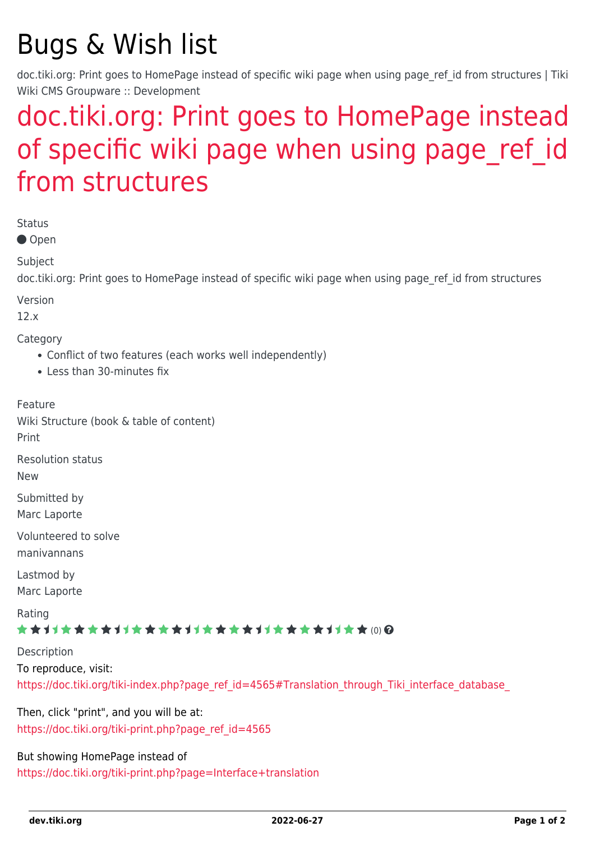## Bugs & Wish list

doc.tiki.org: Print goes to HomePage instead of specific wiki page when using page ref id from structures | Tiki Wiki CMS Groupware :: Development

## [doc.tiki.org: Print goes to HomePage instead](https://dev.tiki.org/item5191-doc-tiki-org-Print-goes-to-HomePage-instead-of-specific-wiki-page-when-using-page_ref_id-from-structures) of specific wiki page when using page ref id [from structures](https://dev.tiki.org/item5191-doc-tiki-org-Print-goes-to-HomePage-instead-of-specific-wiki-page-when-using-page_ref_id-from-structures)

Status ● Open Subject doc.tiki.org: Print goes to HomePage instead of specific wiki page when using page ref id from structures Version 12.x Category Conflict of two features (each works well independently) Less than 30-minutes fix Feature Wiki Structure (book & table of content) Print Resolution status New Submitted by Marc Laporte Volunteered to solve manivannans Lastmod by Marc Laporte Rating ★★11★★★★11★★★★11★★★★11★★★★+11★★ (0) @ Description To reproduce, visit: https://doc.tiki.org/tiki-index.php?page\_ref\_id=4565#Translation\_through\_Tiki\_interface\_database

Then, click "print", and you will be at: [https://doc.tiki.org/tiki-print.php?page\\_ref\\_id=4565](https://doc.tiki.org/tiki-print.php?page_ref_id=4565)

But showing HomePage instead of <https://doc.tiki.org/tiki-print.php?page=Interface+translation>